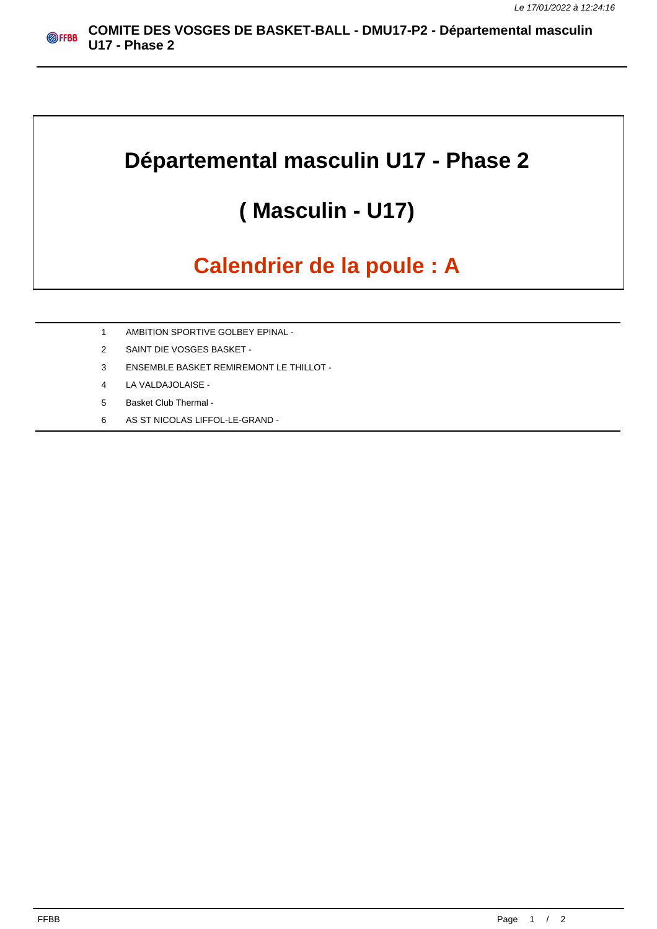## **Départemental masculin U17 - Phase 2**

## **( Masculin - U17)**

## **Calendrier de la poule : A**

- 1 AMBITION SPORTIVE GOLBEY EPINAL -
- 2 SAINT DIE VOSGES BASKET -
- 3 ENSEMBLE BASKET REMIREMONT LE THILLOT -
- 4 LA VALDAJOLAISE -
- 5 Basket Club Thermal -
- 6 AS ST NICOLAS LIFFOL-LE-GRAND -